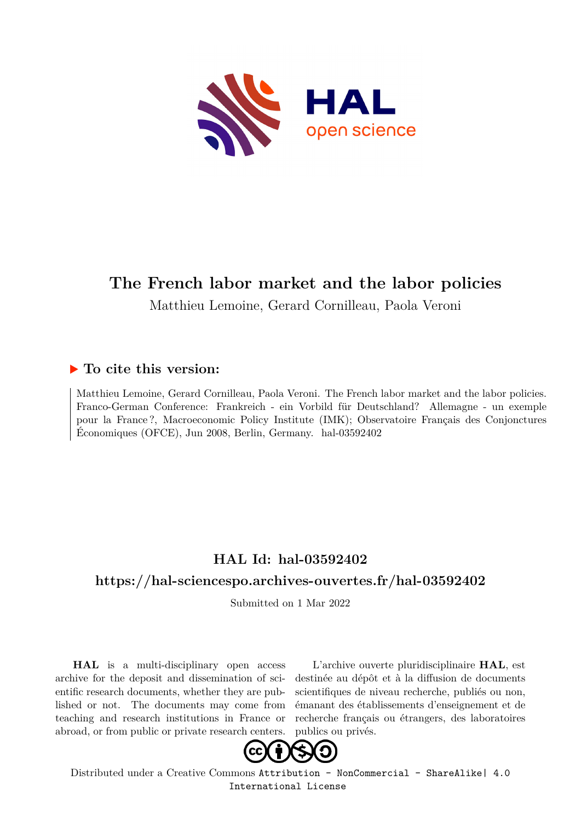

### **The French labor market and the labor policies**

Matthieu Lemoine, Gerard Cornilleau, Paola Veroni

#### **To cite this version:**

Matthieu Lemoine, Gerard Cornilleau, Paola Veroni. The French labor market and the labor policies. Franco-German Conference: Frankreich - ein Vorbild für Deutschland? Allemagne - un exemple pour la France ?, Macroeconomic Policy Institute (IMK); Observatoire Français des Conjonctures Économiques (OFCE), Jun 2008, Berlin, Germany. hal-03592402

#### **HAL Id: hal-03592402**

#### **<https://hal-sciencespo.archives-ouvertes.fr/hal-03592402>**

Submitted on 1 Mar 2022

**HAL** is a multi-disciplinary open access archive for the deposit and dissemination of scientific research documents, whether they are published or not. The documents may come from teaching and research institutions in France or abroad, or from public or private research centers.

L'archive ouverte pluridisciplinaire **HAL**, est destinée au dépôt et à la diffusion de documents scientifiques de niveau recherche, publiés ou non, émanant des établissements d'enseignement et de recherche français ou étrangers, des laboratoires publics ou privés.



Distributed under a Creative Commons [Attribution - NonCommercial - ShareAlike| 4.0](http://creativecommons.org/licenses/by-nc-sa/4.0/) [International License](http://creativecommons.org/licenses/by-nc-sa/4.0/)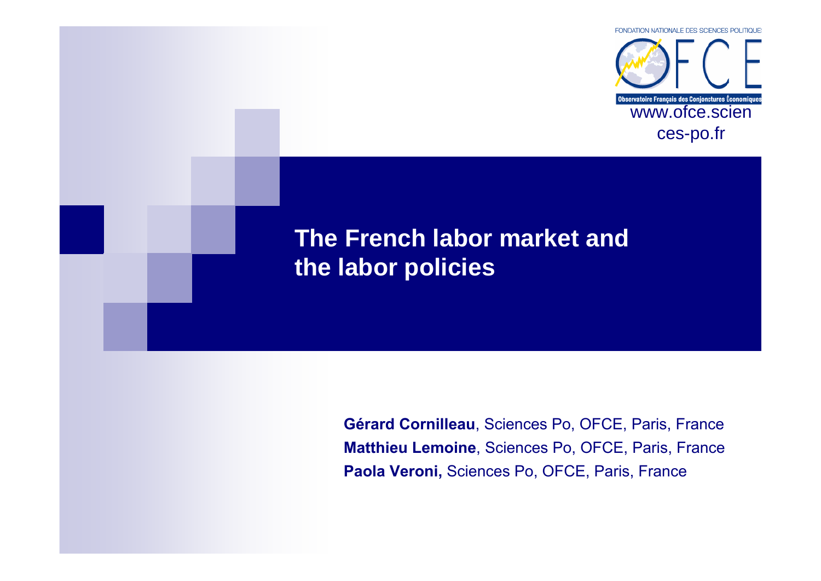

## **The French labor market and the labor policies**

**Gérard Cornilleau**, Sciences Po, OFCE, Paris, France**Matthieu Lemoine**, Sciences Po, OFCE, Paris, France**Paola Veroni,** Sciences Po, OFCE, Paris, France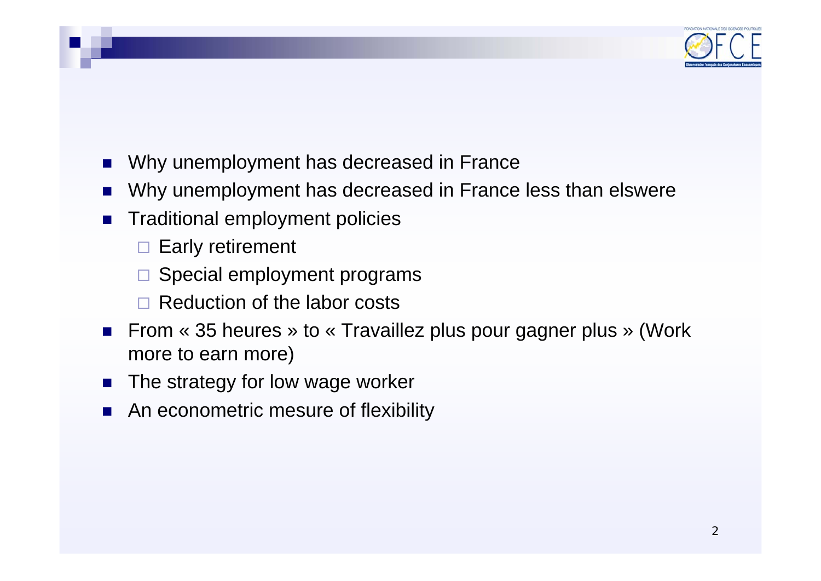

- L. Why unemployment has decreased in France
- T. Why unemployment has decreased in France less than elswere
- T. Traditional employment policies
	- $\square$  Early retirement
	- □ Special employment programs
	- □ Reduction of the labor costs
- From « 35 heures » to « Travaillez plus pour gagner plus » (Work more to earn more)
- T. The strategy for low wage worker
- T. An econometric mesure of flexibility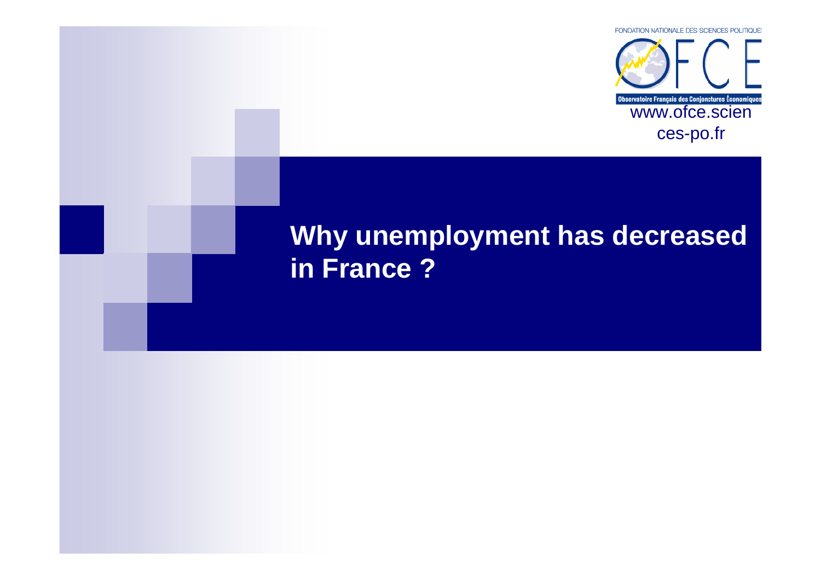

## **Why unemployment has decreased in France ?**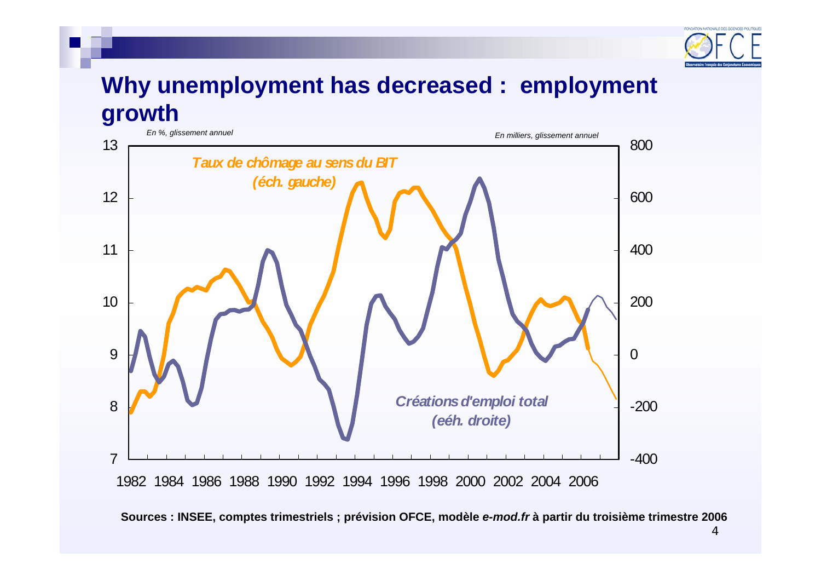

### **Why unemployment has decreased : employment growth**



**Sources : INSEE, comptes trimestriels ; prévision OFCE, modèle** *e-mod.fr* **à partir du troisième trimestre 2006**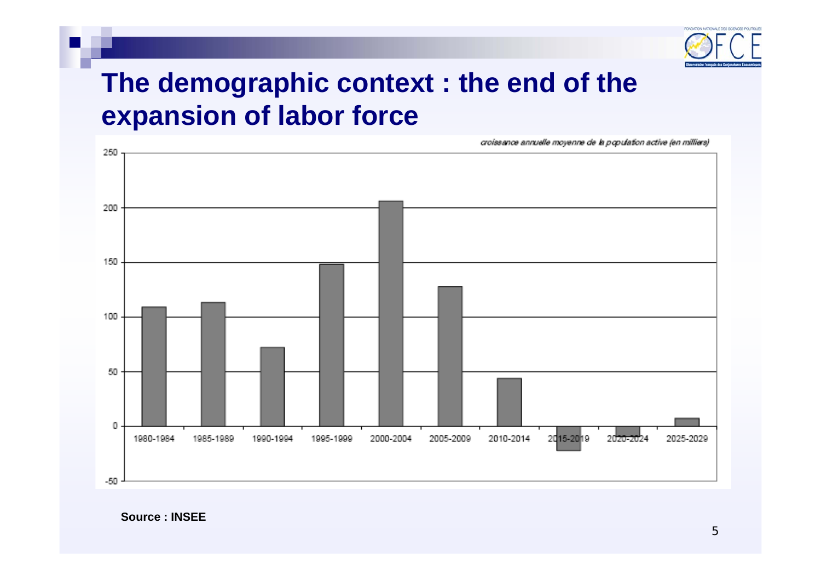

## **The demographic context : the end of the expansion of labor force**

croissance annuelle moyenne de la population active (en milliers)



**Source : INSEE**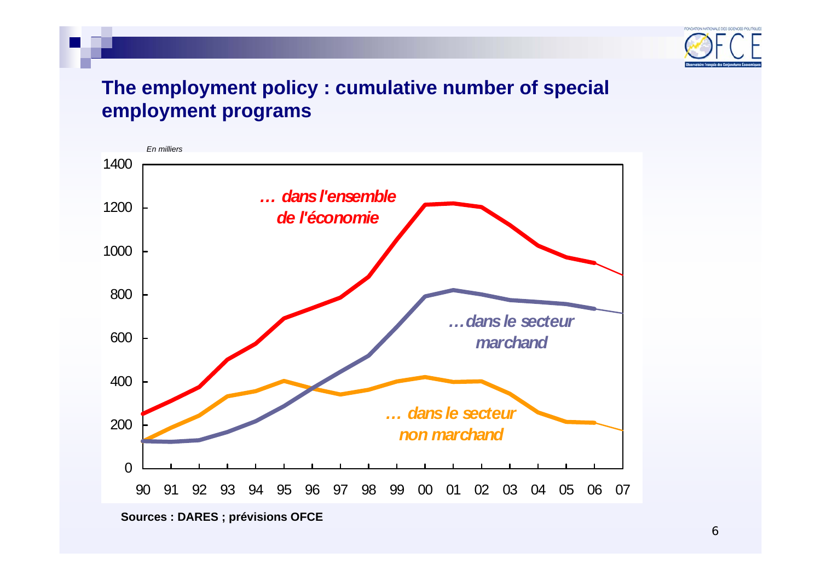

### **The employment policy : cumulative number of special employment programs**



**Sources : DARES ; prévisions OFCE**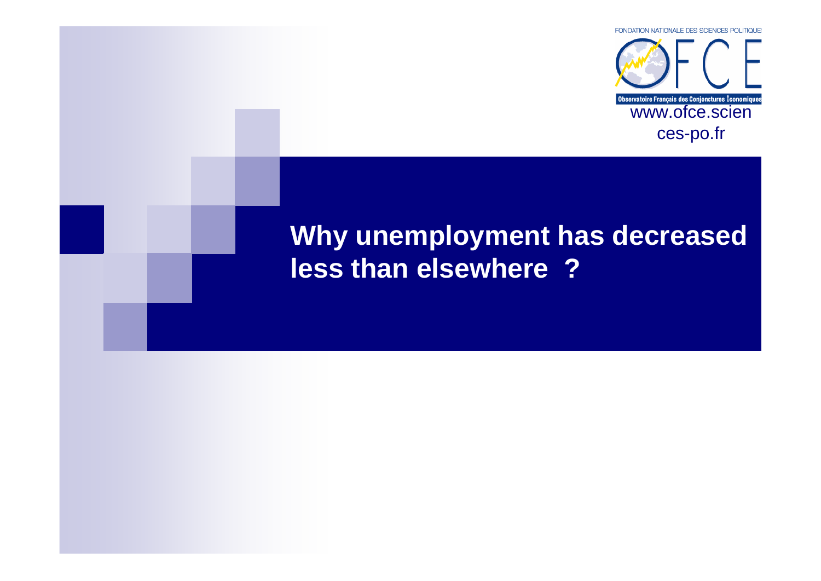

## **Why unemployment has decreased less than elsewhere ?**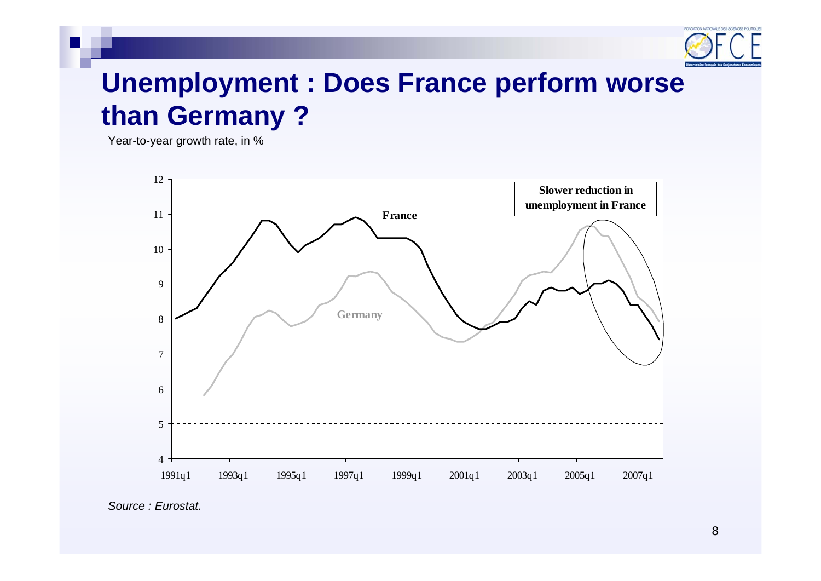

## **Unemployment : Does France perform worse than Germany ?**

Year-to-year growth rate, in %



*Source : Eurostat.*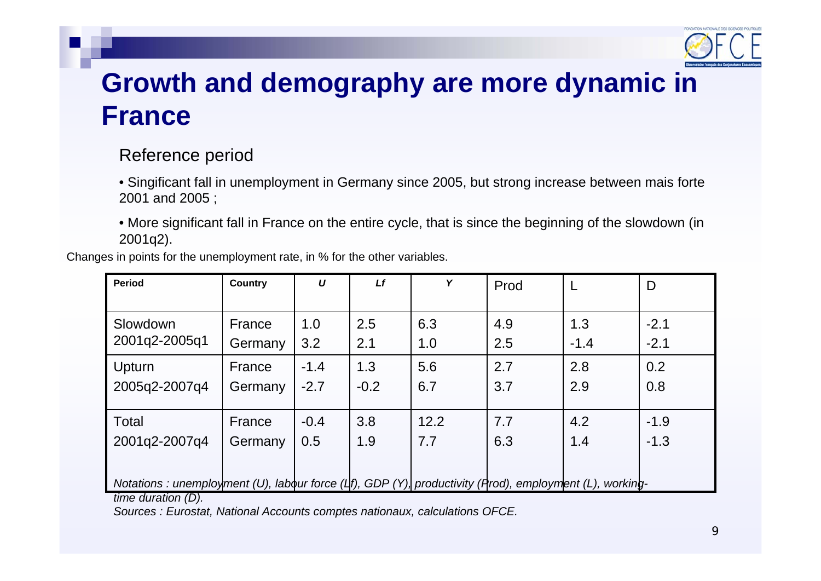

## **Growth and demography are more dynamic in France**

### Reference period

• Singificant fall in unemployment in Germany since 2005, but strong increase between mais forte 2001 and 2005 ;

• More significant fall in France on the entire cycle, that is since the beginning of the slowdown (in 2001q2).

Changes in points for the unemployment rate, in % for the other variables.

| Period                                                                                                           | <b>Country</b> | $\boldsymbol{U}$ | Lf     | Y    | Prod |        | D      |
|------------------------------------------------------------------------------------------------------------------|----------------|------------------|--------|------|------|--------|--------|
|                                                                                                                  |                |                  |        |      |      |        |        |
| Slowdown                                                                                                         | France         | 1.0              | 2.5    | 6.3  | 4.9  | 1.3    | $-2.1$ |
| 2001q2-2005q1                                                                                                    | Germany        | 3.2              | 2.1    | 1.0  | 2.5  | $-1.4$ | $-2.1$ |
| Upturn                                                                                                           | France         | $-1.4$           | 1.3    | 5.6  | 2.7  | 2.8    | 0.2    |
| 2005q2-2007q4                                                                                                    | Germany        | $-2.7$           | $-0.2$ | 6.7  | 3.7  | 2.9    | 0.8    |
|                                                                                                                  |                |                  |        |      |      |        |        |
| Total                                                                                                            | France         | $-0.4$           | 3.8    | 12.2 | 7.7  | 4.2    | $-1.9$ |
| 2001q2-2007q4                                                                                                    | Germany        | 0.5              | 1.9    | 7.7  | 6.3  | 1.4    | $-1.3$ |
|                                                                                                                  |                |                  |        |      |      |        |        |
| Notations : unemployment (U), labour force ( $\sharp$ f), GDP (Y), productivity (Prod), employment (L), working- |                |                  |        |      |      |        |        |
| time duration (D).                                                                                               |                |                  |        |      |      |        |        |

*Sources : Eurostat, National Accounts comptes nationaux, calculations OFCE.*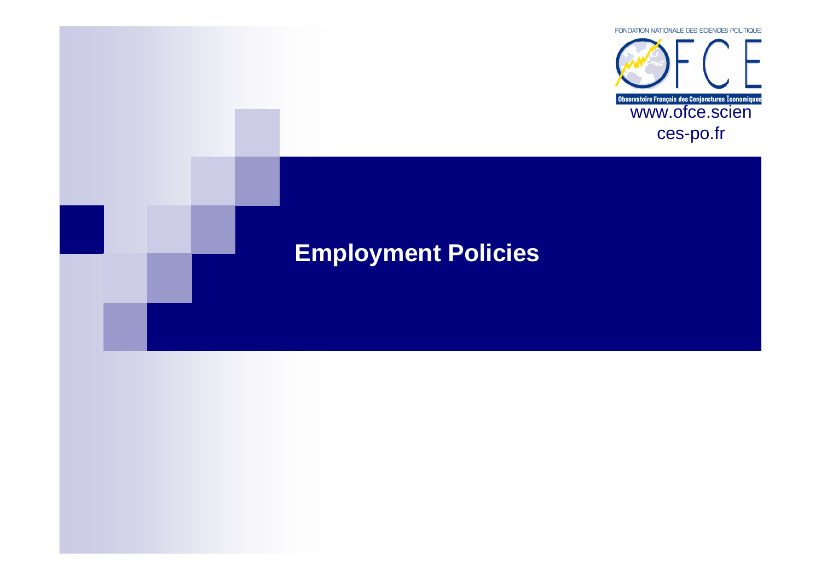

## **Employment Policies**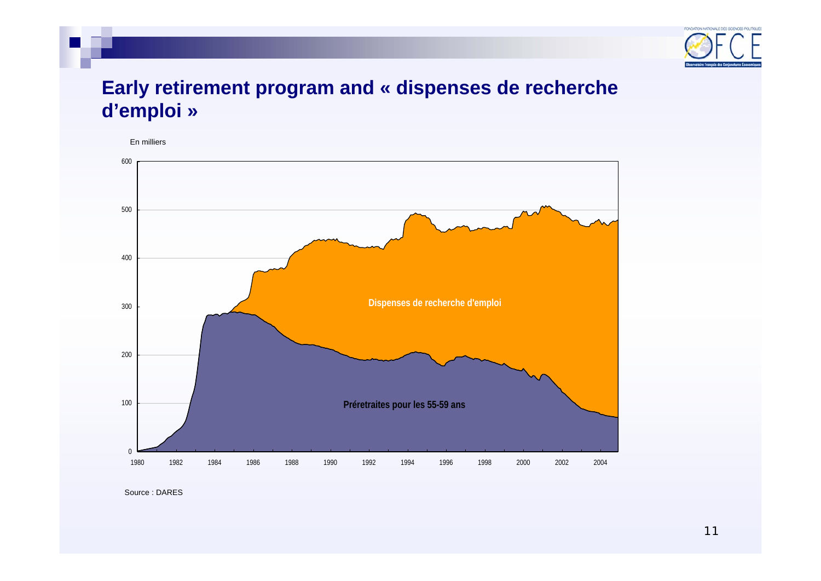

### **Early retirement program and « dispenses de recherche d'emploi »**

En milliers



Source : DARES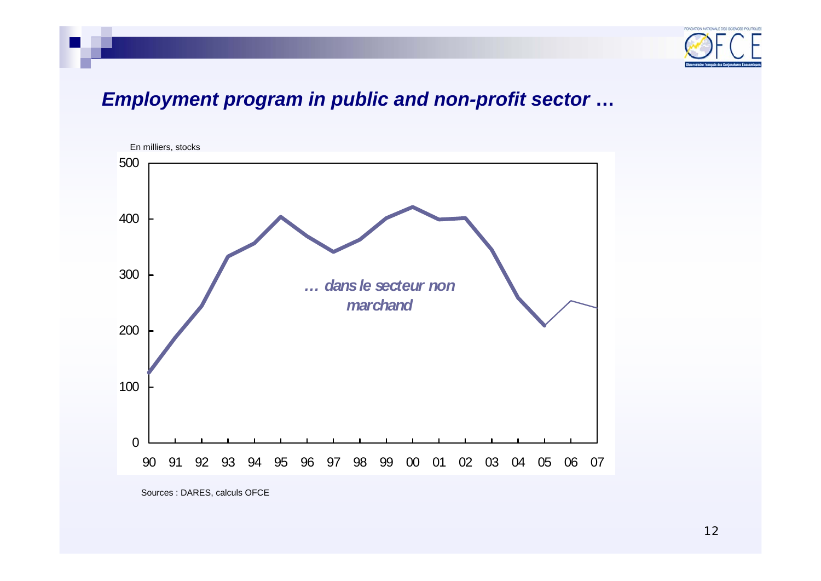

### *Employment program in public and non-profit sector* **…**



Sources : DARES, calculs OFCE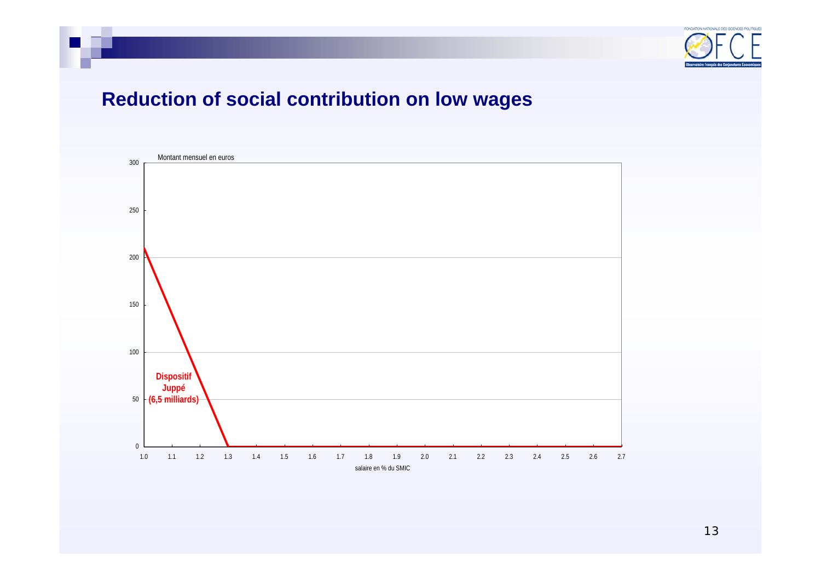

### **Reduction of social contribution on low wages**

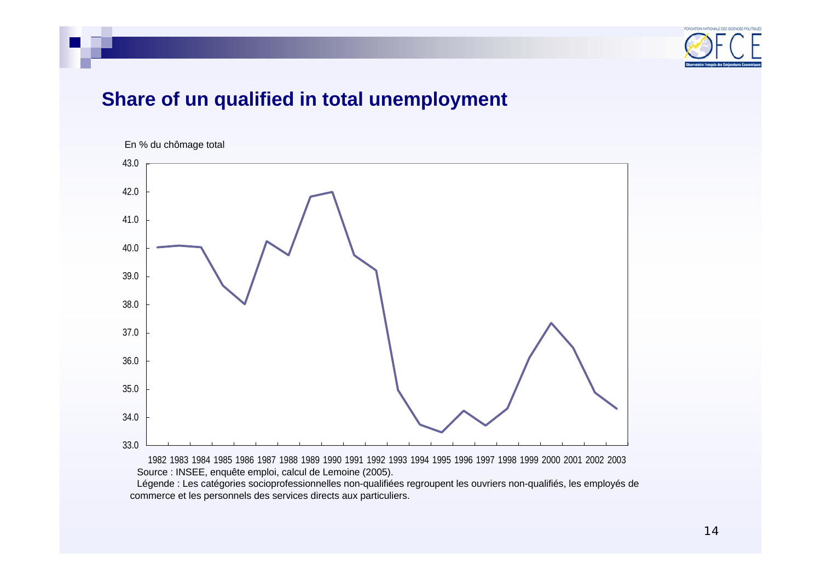

### **Share of un qualified in total unemployment**



1982 1983 1984 1985 1986 1987 1988 1989 1990 1991 1992 1993 1994 1995 1996 1997 1998 1999 2000 2001 2002 2003 Source : INSEE, enquête emploi, calcul de Lemoine (2005).

Légende : Les catégories socioprofessionnelles non-qualifiées regroupent les ouvriers non-qualifiés, les employés de commerce et les personnels des services directs aux particuliers.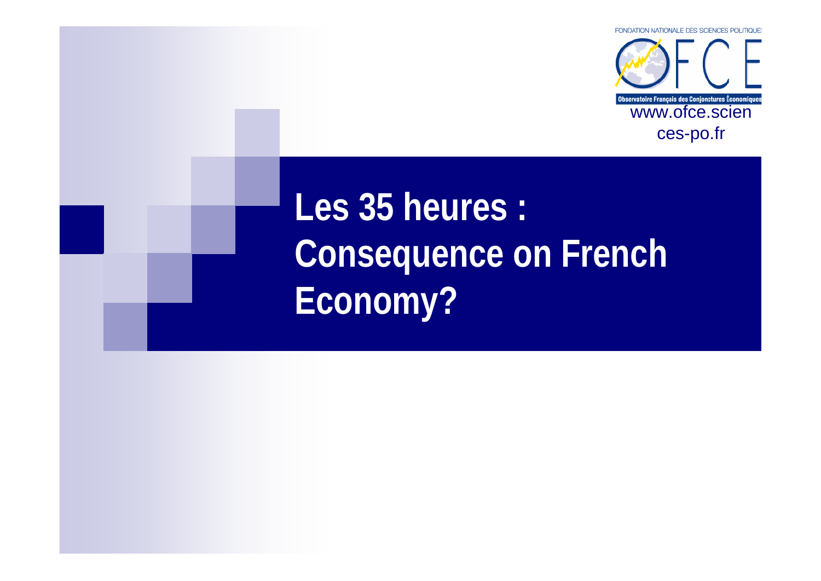

**Les 35 heures : Consequence on French Economy?**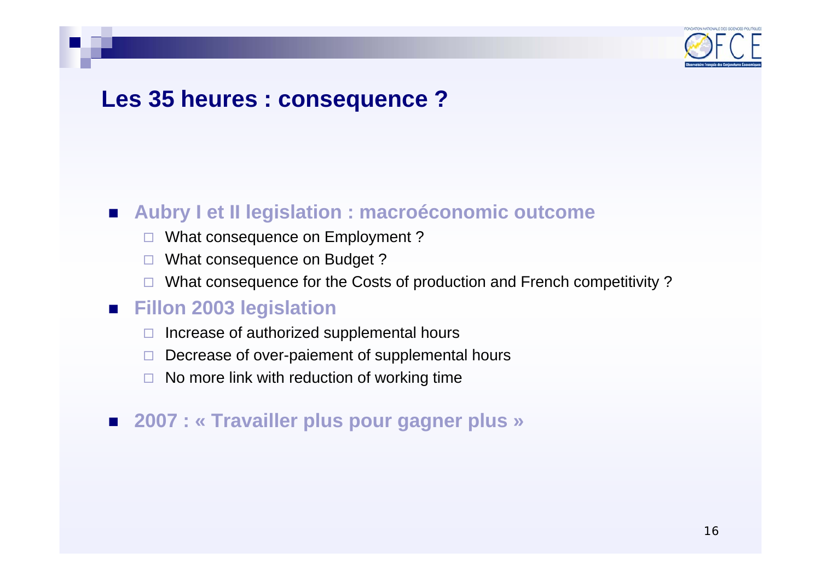

### **Les 35 heures : consequence ?**

### **Aubry I et II legislation : macroéconomic outcome**

- □ What consequence on Employment ?
- $\Box$ What consequence on Budget ?
- □ What consequence for the Costs of production and French competitivity ?

### **Fillon 2003 legislation**

- $\Box$ Increase of authorized supplemental hours
- $\Box$ Decrease of over-paiement of supplemental hours
- □ No more link with reduction of working time

### **2007 : « Travailler plus pour gagner plus »**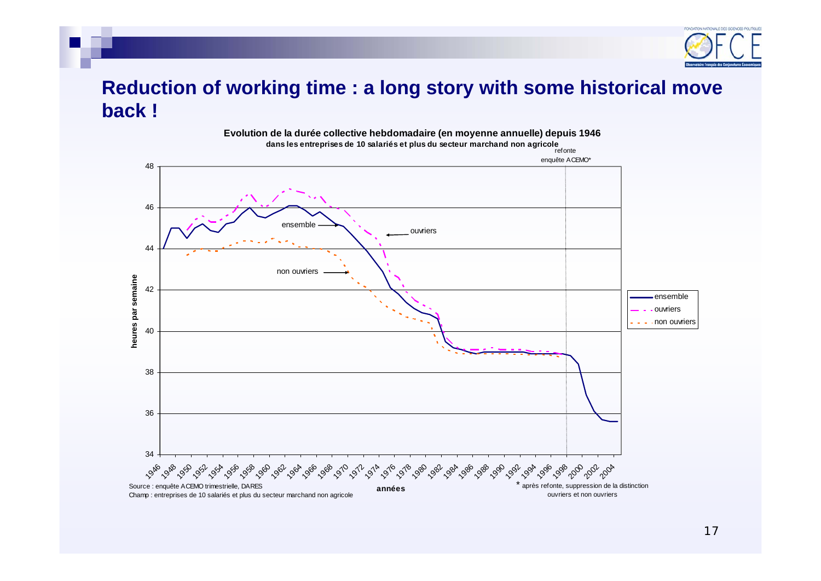

### **Reduction of working time : a long story with some historical move back !**

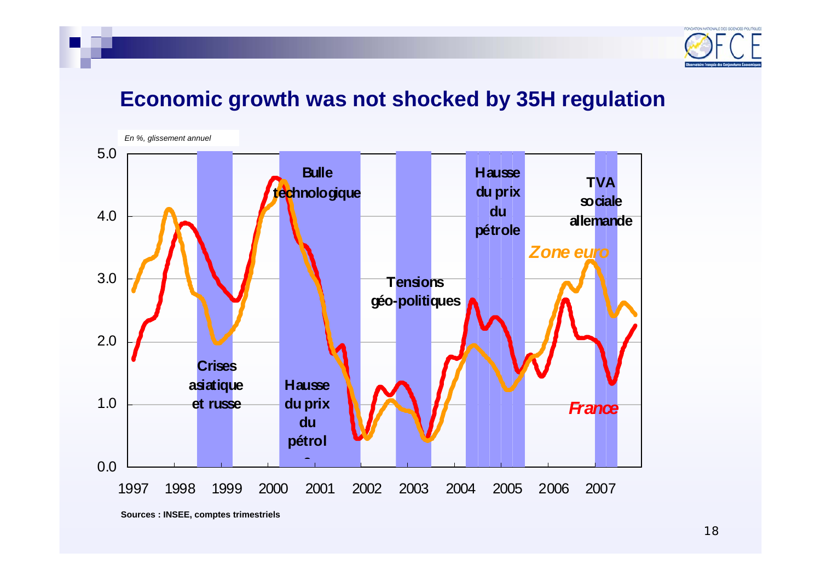

### **Economic growth was not shocked by 35H regulation**

*En %, glissement annuel*



**Sources : INSEE, comptes trimestriels**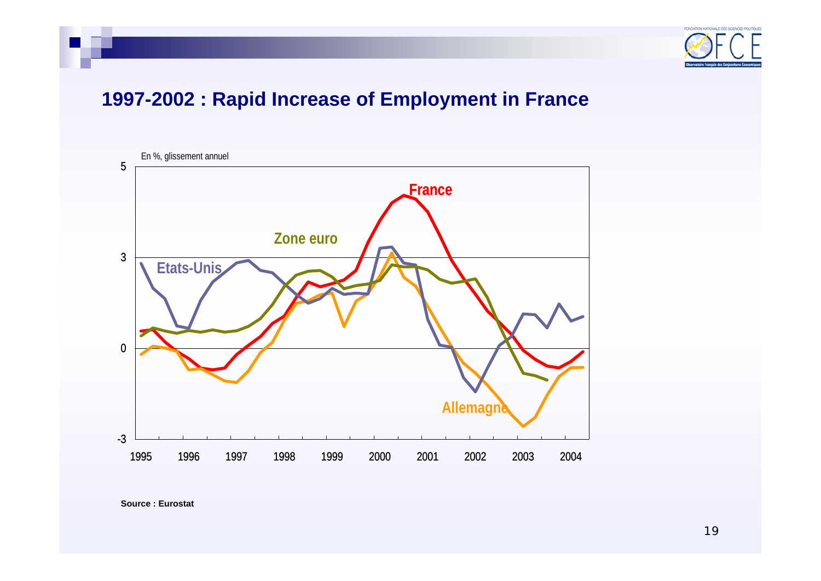

### **1997-2002 : Rapid Increase of Employment in France**



**Source : Eurostat**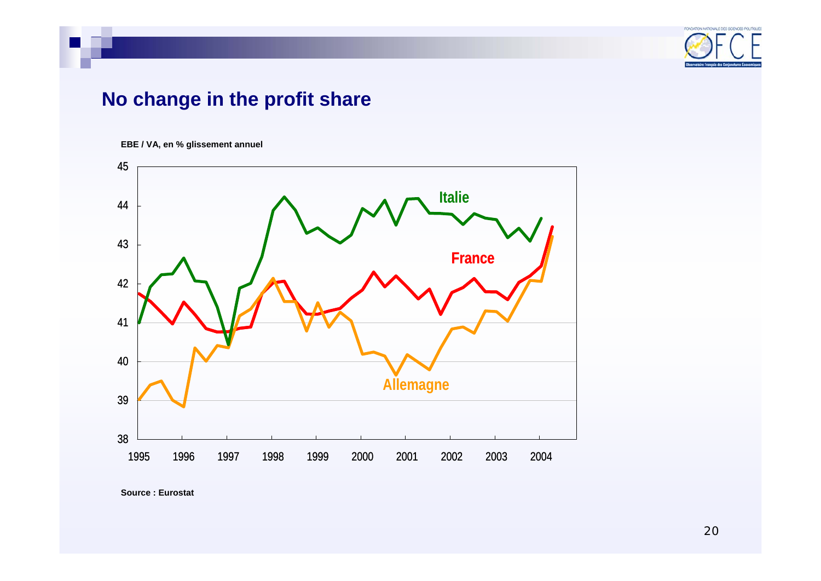

### **No change in the profit share**

#### **EBE / VA, en % glissement annuel**



**Source : Eurostat**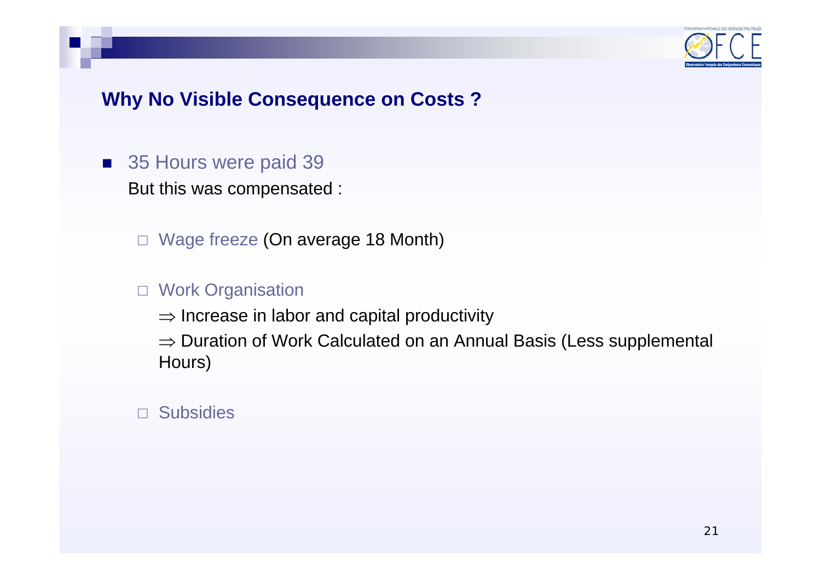

### **Why No Visible Consequence on Costs ?**

### ■ 35 Hours were paid 39 But this was compensated :

Wage freeze (On average 18 Month)

### □ Work Organisation

 $\Rightarrow$  Increase in labor and capital productivity

 $\Rightarrow$  Duration of Work Calculated on an Annual Basis (Less supplemental Hours)

### Subsidies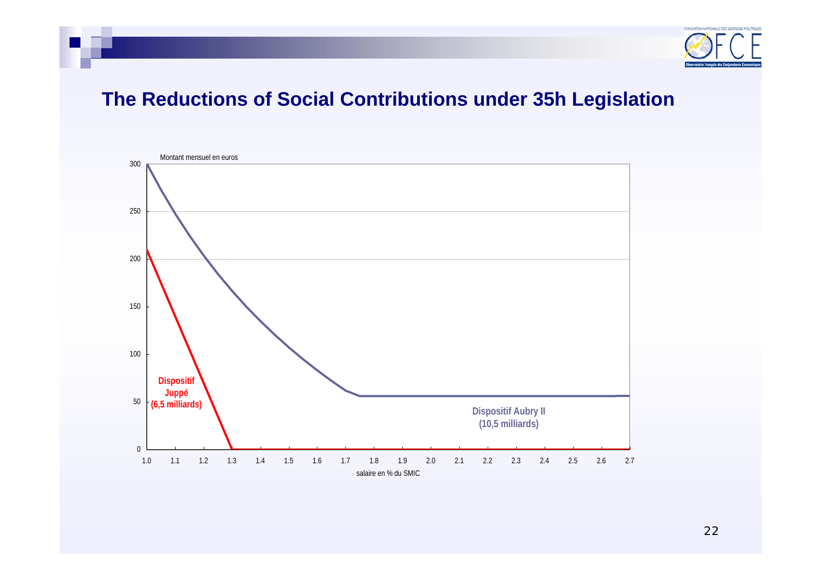

### **The Reductions of Social Contributions under 35h Legislation**

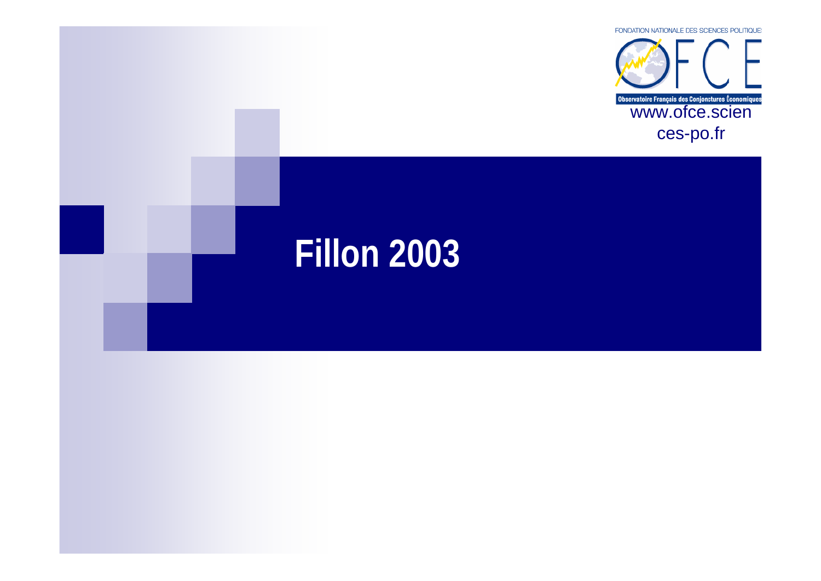

# **Fillon 2003**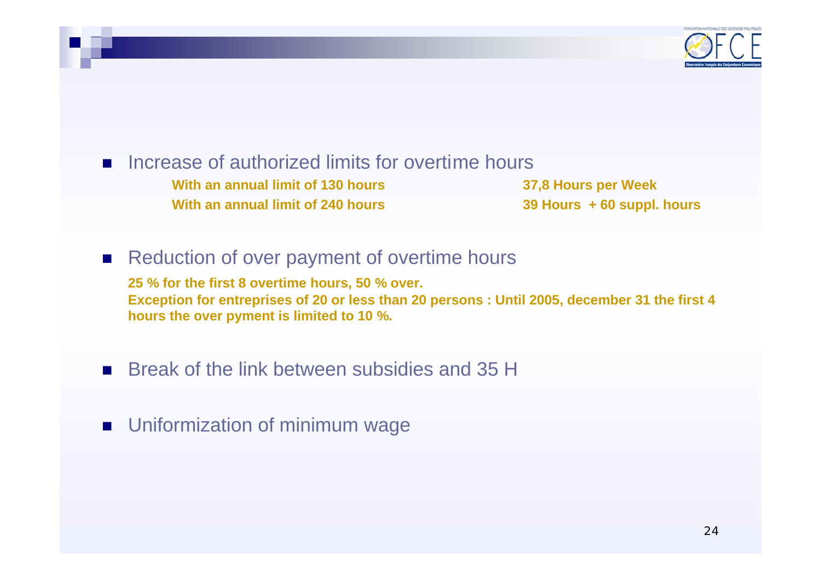

#### L. Increase of authorized limits for overtime hours **With an annual limit of 130 hoursWith an annual limit of 240 hours**

 **37,8 Hours per Week 39 Hours + 60 suppl. hours**

#### $\mathcal{L}^{\text{max}}$ Reduction of over payment of overtime hours

**25 % for the first 8 overtime hours, 50 % over. Exception for entreprises of 20 or less than 20 persons : Until 2005, december 31 the first 4 hours the over pyment is limited to 10 %.**

#### $\mathcal{L}_{\mathcal{A}}$ Break of the link between subsidies and 35 H

### **DETE:** Uniformization of minimum wage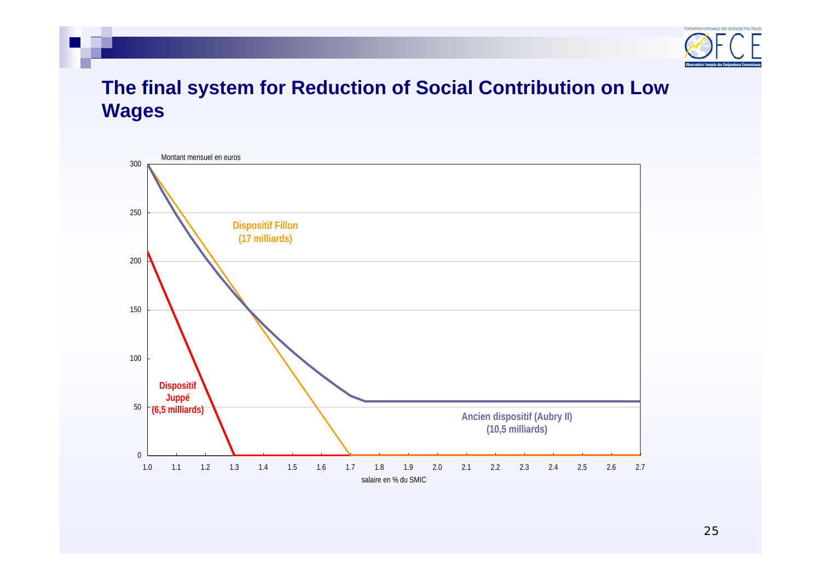

### **The final system for Reduction of Social Contribution on Low Wages**

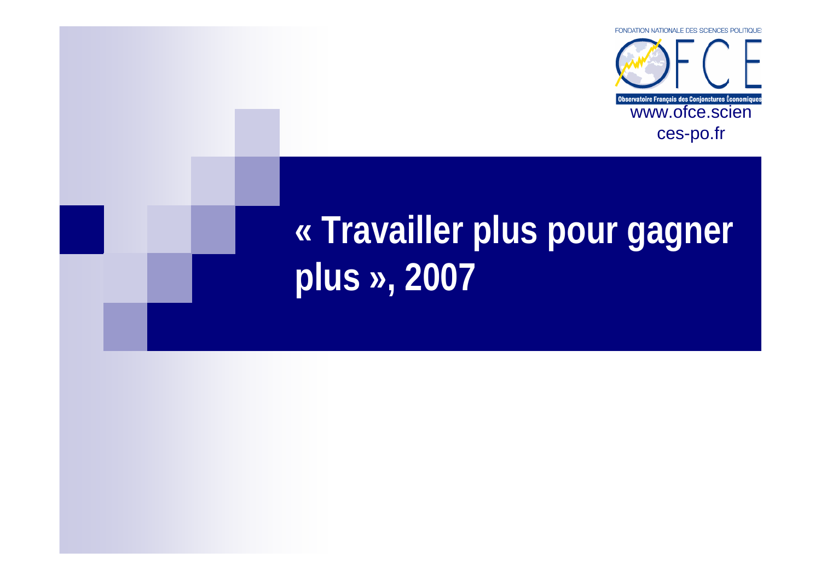

## **« Travailler plus pour gagner plus », 2007**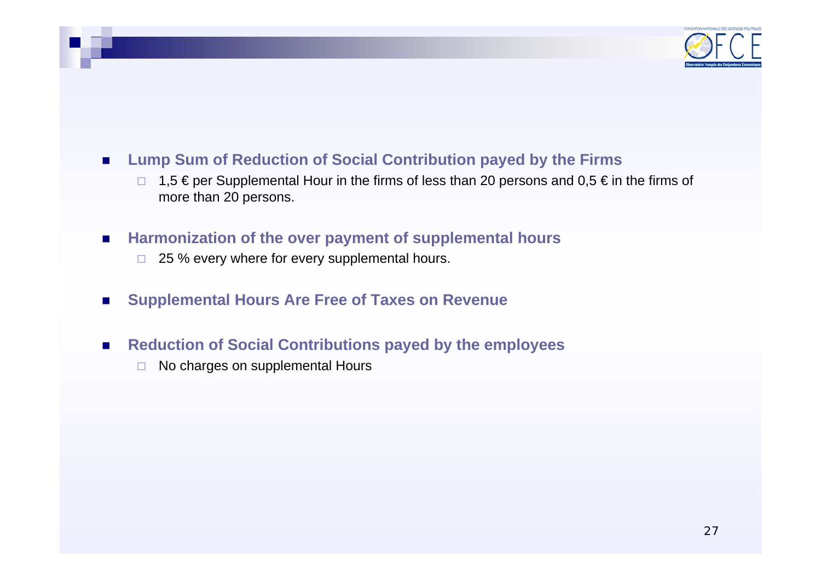

#### $\mathcal{L}_{\mathcal{A}}$ **Lump Sum of Reduction of Social Contribution payed by the Firms**

- $\Box$ 1,5 € per Supplemental Hour in the firms of less than 20 persons and 0,5 € in the firms of more than 20 persons.
- $\mathcal{L}_{\mathcal{A}}$  **Harmonization of the over payment of supplemental hours**
	- $\Box$ 25 % every where for every supplemental hours.
- $\mathcal{L}_{\mathcal{A}}$ **Supplemental Hours Are Free of Taxes on Revenue**
- $\mathcal{L}_{\mathcal{A}}$  **Reduction of Social Contributions payed by the employees**
	- $\Box$ No charges on supplemental Hours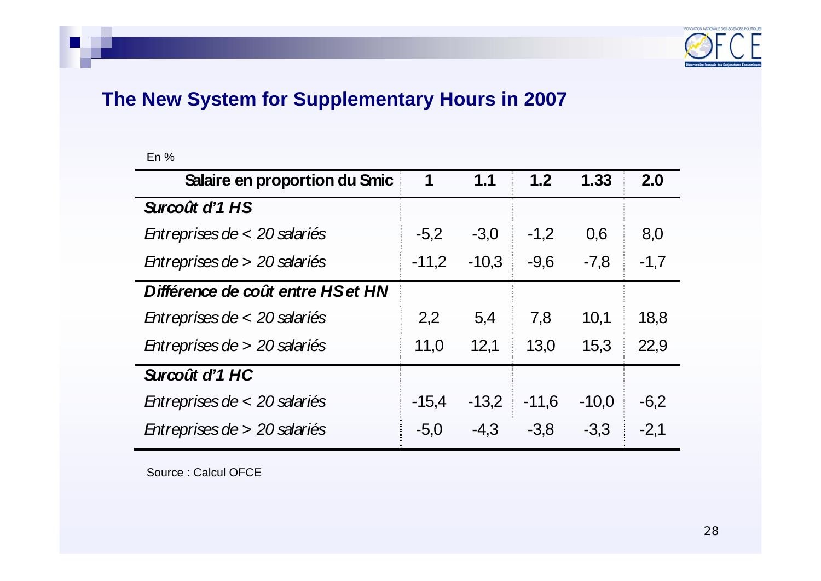

### **The New System for Supplementary Hours in 2007**

En %

| Salaire en proportion du Smic     | 1       | 1.1     | 1.2     | 1.33    | 2.0    |
|-----------------------------------|---------|---------|---------|---------|--------|
| Surcoût d'1 HS                    |         |         |         |         |        |
| Entreprises de < 20 salariés      | $-5,2$  | $-3,0$  | $-1,2$  | 0,6     | 8,0    |
| Entreprises de > 20 salariés      | $-11,2$ | $-10,3$ | $-9,6$  | $-7.8$  | $-1,7$ |
| Différence de coût entre HS et HN |         |         |         |         |        |
| Entreprises de < 20 salariés      | 2,2     | 5,4     | 7,8     | 10.1    | 18,8   |
| Entreprises de > 20 salariés      | 11,0    | 12,1    | 13.0    | 15.3    | 22,9   |
| Surcoût d'1 HC                    |         |         |         |         |        |
| Entreprises de < 20 salariés      | $-15.4$ | $-13,2$ | $-11,6$ | $-10.0$ | $-6,2$ |
| Entreprises de > 20 salariés      | $-5,0$  | $-4.3$  | $-3,8$  | $-3,3$  | $-2,1$ |

Source : Calcul OFCE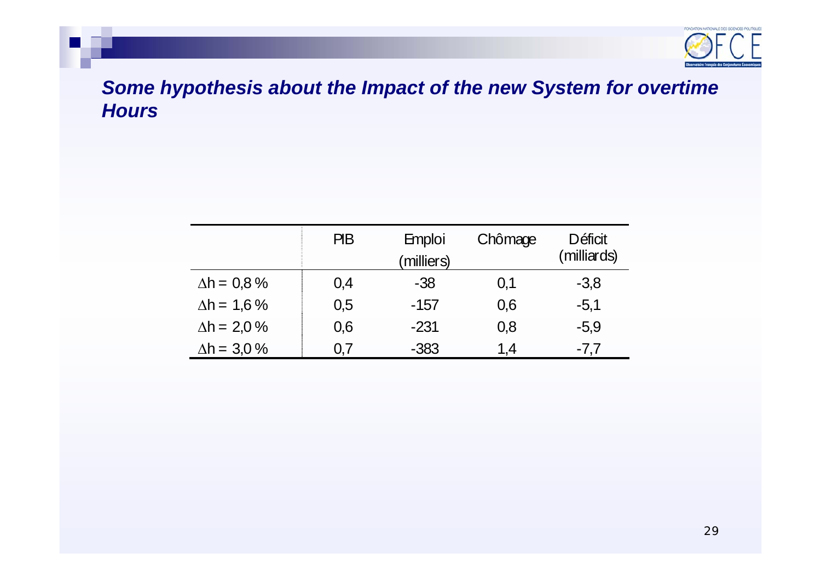

### *Some hypothesis about the Impact of the new System for overtime Hours*

|                     | PB  | <b>Emploi</b><br>milliers) | Chômage | Déficit<br>(milliards) |
|---------------------|-----|----------------------------|---------|------------------------|
| $\Delta h = 0.8 \%$ | 0,4 | -38                        | 0.1     | $-3,8$                 |
| $\Delta h = 1.6\%$  | 0,5 | $-157$                     | 0,6     | $-5,1$                 |
| $\Delta h = 2.0 \%$ | 0,6 | $-231$                     | 0,8     | $-5,9$                 |
| $\Delta h = 3.0 \%$ | U.7 | $-383$                     | 1.4     | $-7.7$                 |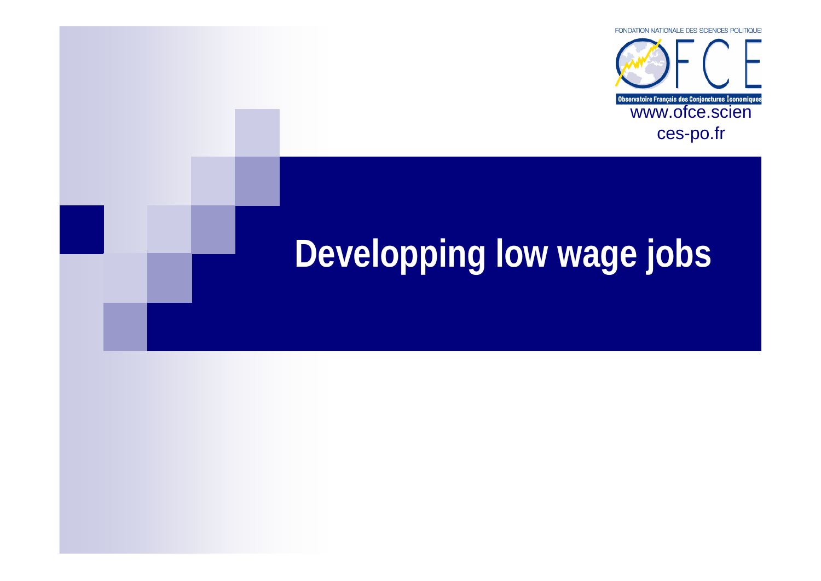

# **Developping low wage jobs**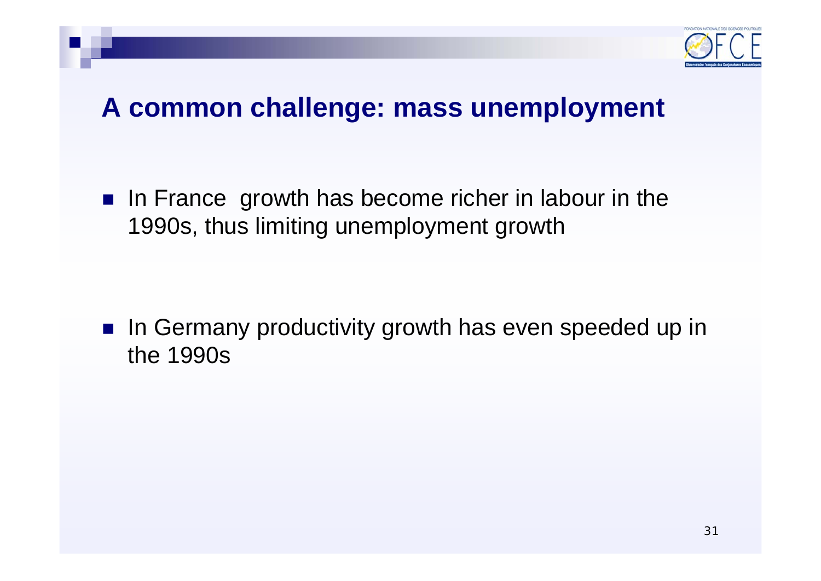

## **A common challenge: mass unemployment**

 $\blacksquare$  In France growth has become richer in labour in the 1990s, thus limiting unemployment growth

 $\mathcal{L}^{\text{max}}$  In Germany productivity growth has even speeded up in the 1990s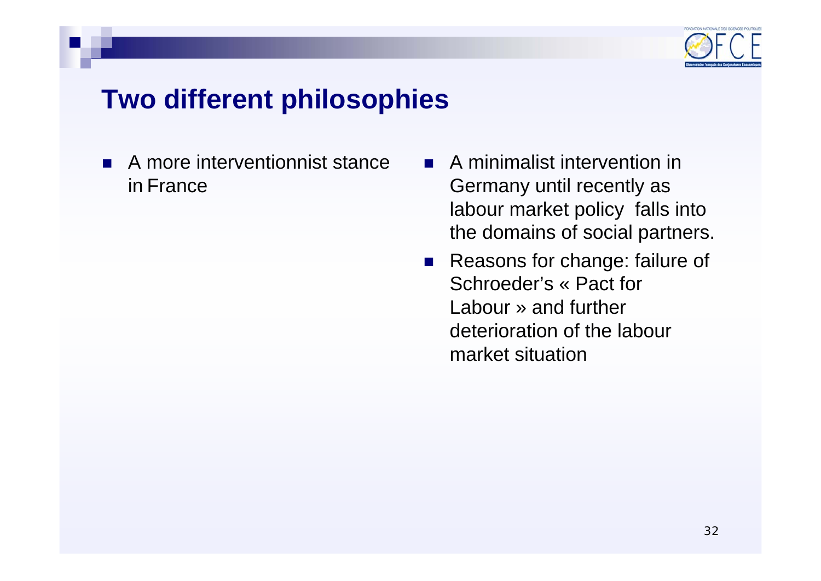

## **Two different philosophies**

- L. A more interventionnist stance in France
- L. A minimalist intervention in Germany until recently as labour market policy falls into the domains of social partners.
- $\mathcal{L}(\mathcal{A})$  Reasons for change: failure of Schroeder's « Pact for Labour » and furtherdeterioration of the labour market situation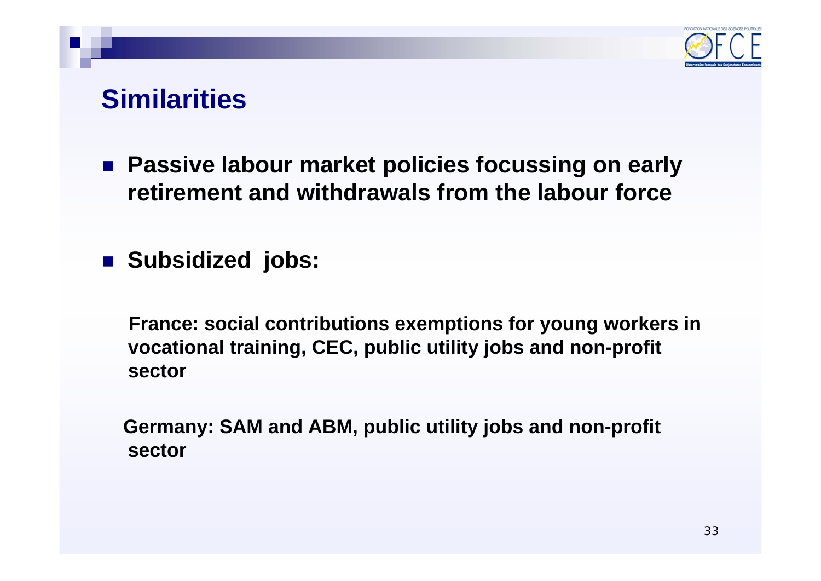

## **Similarities**

 **Passive labour market policies focussing on early retirement and withdrawals from the labour force**

**Subsidized jobs:** 

**France: social contributions exemptions for young workers in vocational training, CEC, public utility jobs and non-profit sector**

**Germany: SAM and ABM, public utility jobs and non-profit sector**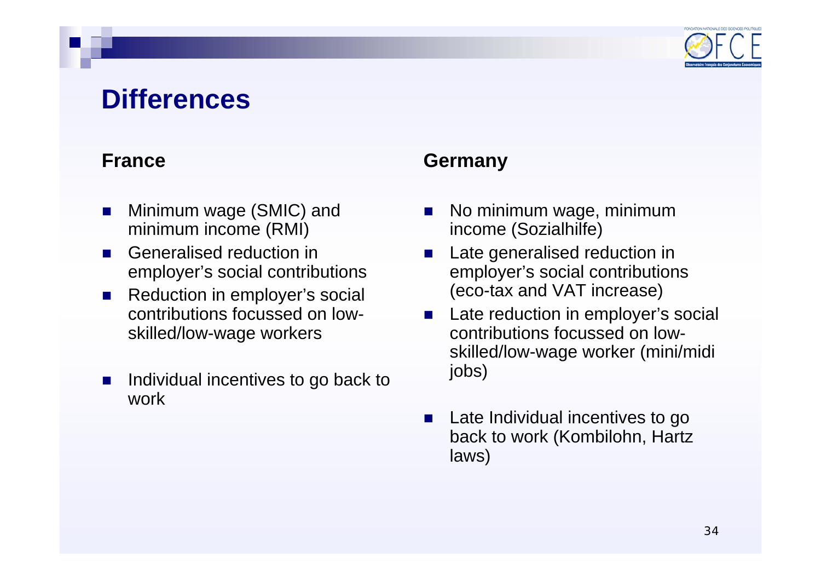

## **Differences**

### **France**

- П Minimum wage (SMIC) and minimum income (RMI)
- П Generalised reduction in employer's social contributions
- $\mathcal{L}_{\text{max}}$  Reduction in employer's social contributions focussed on lowskilled/low-wage workers
- П Individual incentives to go back to work

### **Germany**

- П No minimum wage, minimum income (Sozialhilfe)
- П Late generalised reduction in employer's social contributions (eco-tax and VAT increase)
- **Late reduction in employer's social** contributions focussed on lowskilled/low-wage worker (mini/midi jobs)
- **Late Individual incentives to go** back to work (Kombilohn, Hartz laws)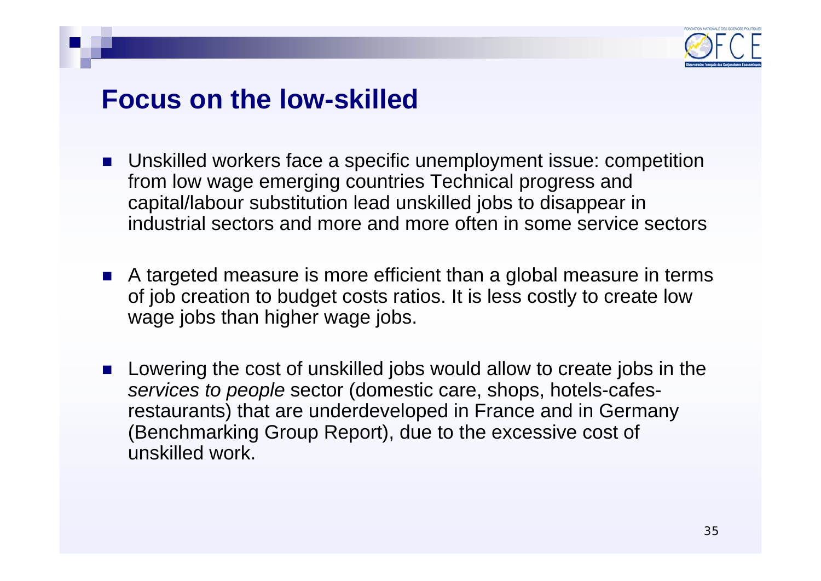

### **Focus on the low-skilled**

- Unskilled workers face a specific unemployment issue: competition from low wage emerging countries Technical progress and capital/labour substitution lead unskilled jobs to disappear in industrial sectors and more and more often in some service sectors
- A targeted measure is more efficient than a global measure in terms of job creation to budget costs ratios. It is less costly to create low wage jobs than higher wage jobs.
- T. Lowering the cost of unskilled jobs would allow to create jobs in the *services to people* sector (domestic care, shops, hotels-cafesrestaurants) that are underdeveloped in France and in Germany (Benchmarking Group Report), due to the excessive cost of unskilled work.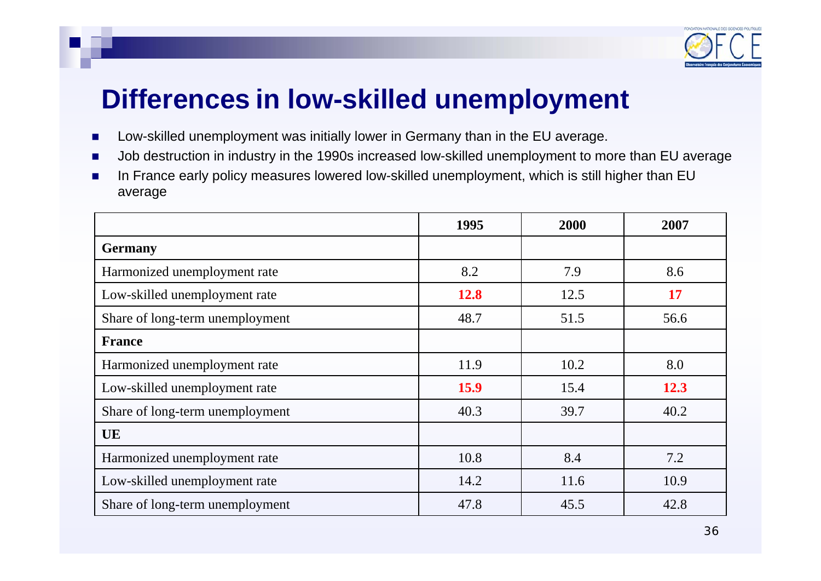

## **Differences in low-skilled unemployment**

- $\mathbf{r}$ Low-skilled unemployment was initially lower in Germany than in the EU average.
- Job destruction in industry in the 1990s increased low-skilled unemployment to more than EU average
- ▉ In France early policy measures lowered low-skilled unemployment, which is still higher than EU average

|                                 | 1995        | 2000 | 2007 |
|---------------------------------|-------------|------|------|
| <b>Germany</b>                  |             |      |      |
| Harmonized unemployment rate    | 8.2         | 7.9  | 8.6  |
| Low-skilled unemployment rate   | <b>12.8</b> | 12.5 | 17   |
| Share of long-term unemployment | 48.7        | 51.5 | 56.6 |
| <b>France</b>                   |             |      |      |
| Harmonized unemployment rate    | 11.9        | 10.2 | 8.0  |
| Low-skilled unemployment rate   | <b>15.9</b> | 15.4 | 12.3 |
| Share of long-term unemployment | 40.3        | 39.7 | 40.2 |
| UE                              |             |      |      |
| Harmonized unemployment rate    | 10.8        | 8.4  | 7.2  |
| Low-skilled unemployment rate   | 14.2        | 11.6 | 10.9 |
| Share of long-term unemployment | 47.8        | 45.5 | 42.8 |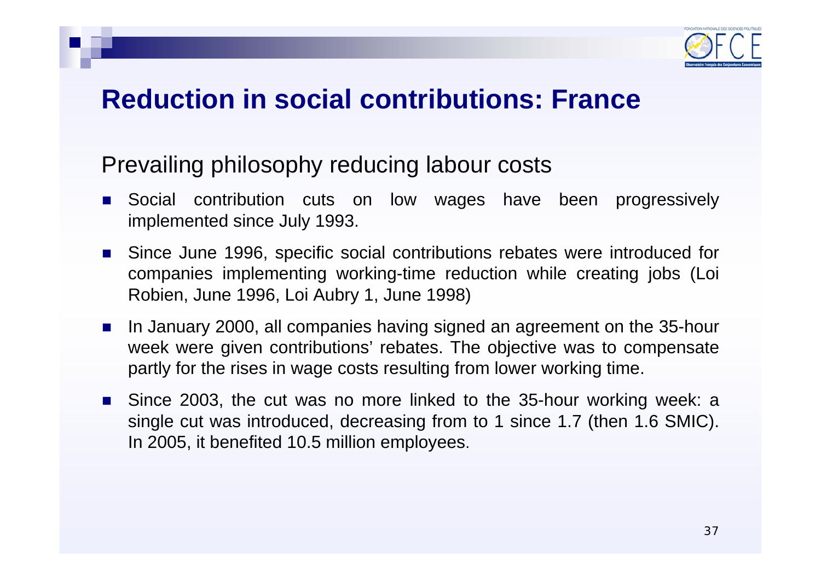

## **Reduction in social contributions: France**

### Prevailing philosophy reducing labour costs

- П Social contribution cuts on low wages have been progressively implemented since July 1993.
- Since June 1996, specific social contributions rebates were introduced for companies implementing working-time reduction while creating jobs (Loi Robien, June 1996, Loi Aubry 1, June 1998)
- $\mathcal{L}_{\text{max}}$  In January 2000, all companies having signed an agreement on the 35-hour week were given contributions' rebates. The objective was to compensate partly for the rises in wage costs resulting from lower working time.
- Since 2003, the cut was no more linked to the 35-hour working week: a single cut was introduced, decreasing from to 1 since 1.7 (then 1.6 SMIC). In 2005, it benefited 10.5 million employees.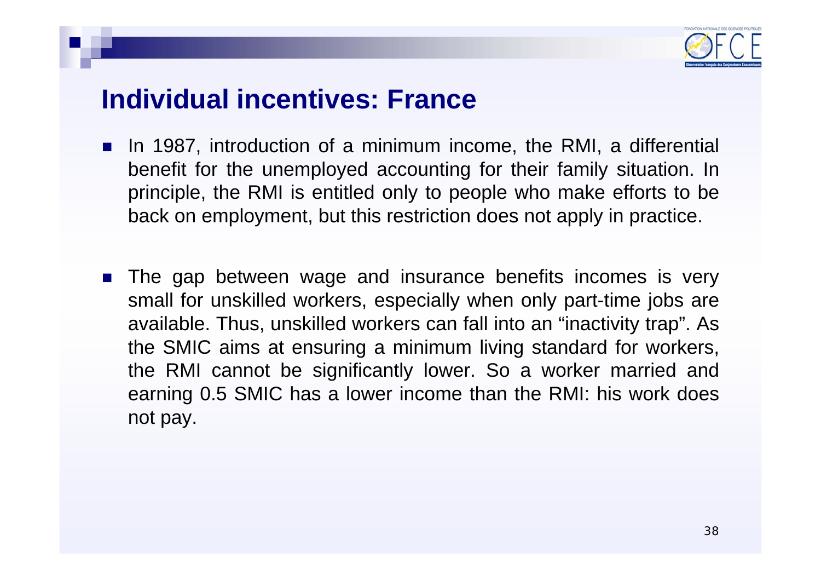

## **Individual incentives: France**

- $\mathcal{L}_{\mathcal{A}}$  In 1987, introduction of a minimum income, the RMI, a differential benefit for the unemployed accounting for their family situation. In principle, the RMI is entitled only to people who make efforts to be back on employment, but this restriction does not apply in practice.
- T. The gap between wage and insurance benefits incomes is very small for unskilled workers, especially when only part-time jobs are available. Thus, unskilled workers can fall into an "inactivity trap". As the SMIC aims at ensuring a minimum living standard for workers, the RMI cannot be significantly lower. So a worker married and earning 0.5 SMIC has a lower income than the RMI: his work does not pay.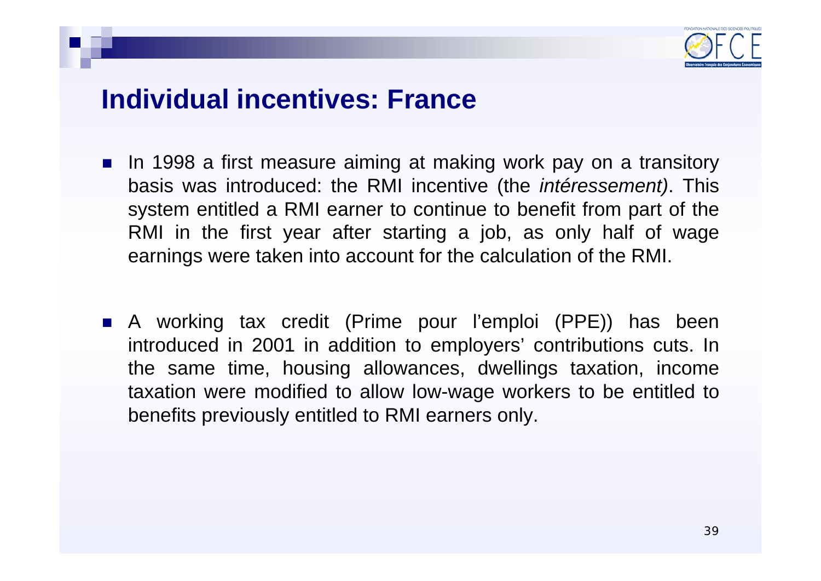

## **Individual incentives: France**

- **In 1998 a first measure aiming at making work pay on a transitory** basis was introduced: the RMI incentive (the *intéressement)*. This system entitled a RMI earner to continue to benefit from part of the RMI in the first year after starting a job, as only half of wage earnings were taken into account for the calculation of the RMI.
- A working tax credit (Prime pour l'emploi (PPE)) has been introduced in 2001 in addition to employers' contributions cuts. In the same time, housing allowances, dwellings taxation, income taxation were modified to allow low-wage workers to be entitled to benefits previously entitled to RMI earners only.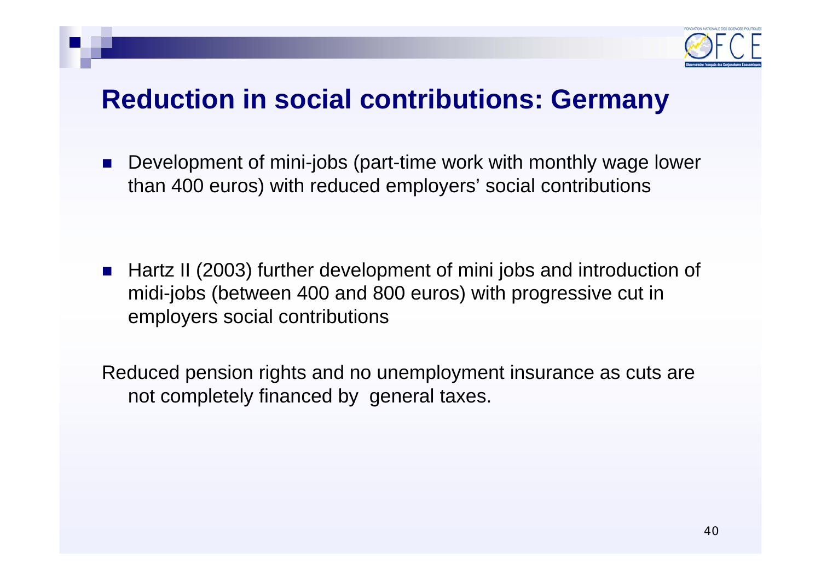

## **Reduction in social contributions: Germany**

L. Development of mini-jobs (part-time work with monthly wage lower than 400 euros) with reduced employers' social contributions

 $\mathcal{L}(\mathcal{A})$  Hartz II (2003) further development of mini jobs and introduction of midi-jobs (between 400 and 800 euros) with progressive cut in employers social contributions

Reduced pension rights and no unemployment insurance as cuts are not completely financed by general taxes.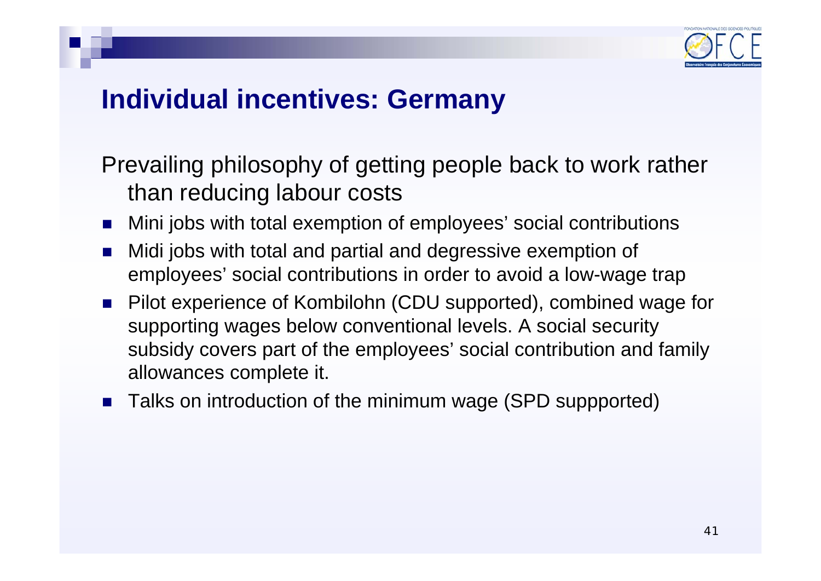

## **Individual incentives: Germany**

Prevailing philosophy of getting people back to work rather than reducing labour costs

- F. Mini jobs with total exemption of employees' social contributions
- T. Midi jobs with total and partial and degressive exemption of employees' social contributions in order to avoid a low-wage trap
- Pilot experience of Kombilohn (CDU supported), combined wage for supporting wages below conventional levels. A social security subsidy covers part of the employees' social contribution and family allowances complete it.
- F. Talks on introduction of the minimum wage (SPD suppported)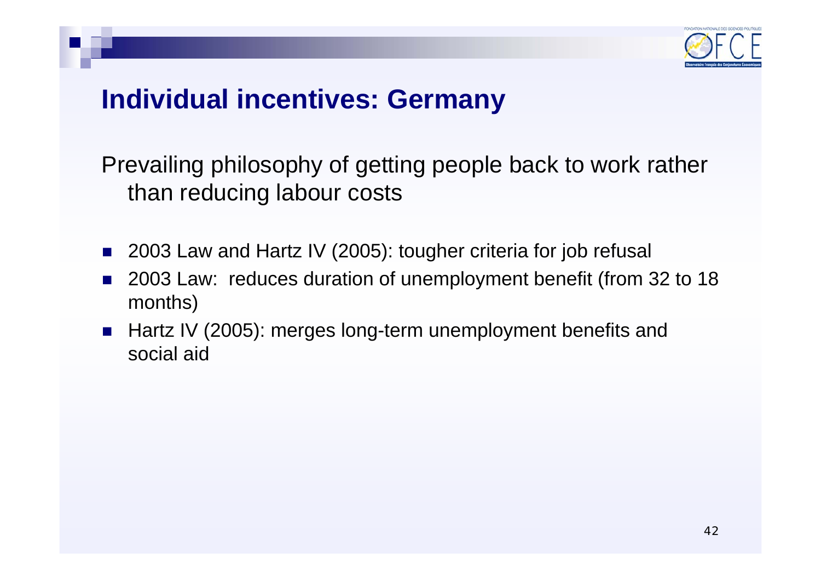

## **Individual incentives: Germany**

Prevailing philosophy of getting people back to work rather than reducing labour costs

- T. 2003 Law and Hartz IV (2005): tougher criteria for job refusal
- T. 2003 Law: reduces duration of unemployment benefit (from 32 to 18 months)
- **Hartz IV (2005): merges long-term unemployment benefits and** social aid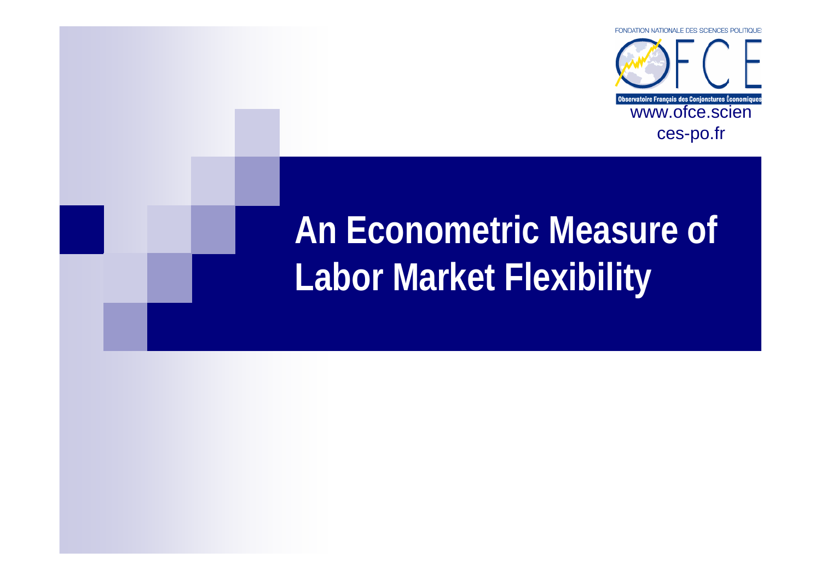

# **An Econometric Measure of Labor Market Flexibility**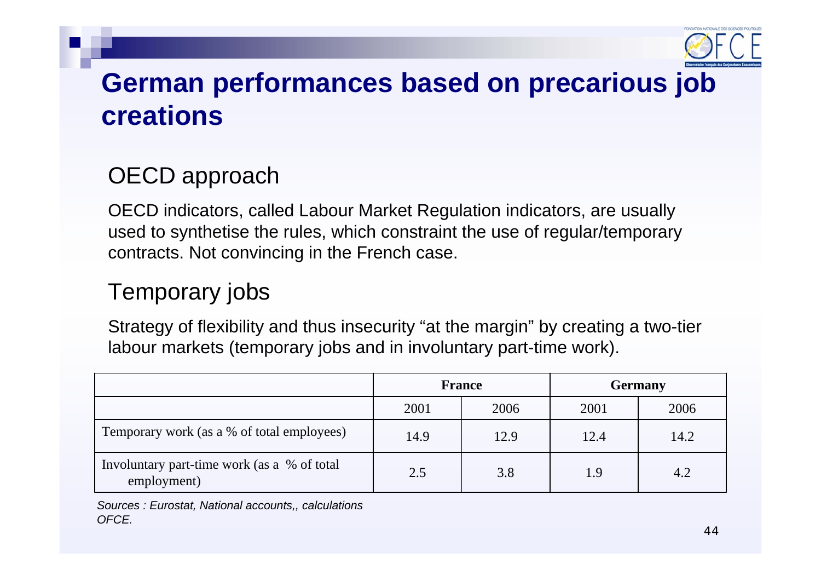

## **German performances based on precarious job creations**

## OECD approach

OECD indicators, called Labour Market Regulation indicators, are usually used to synthetise the rules, which constraint the use of regular/temporary contracts. Not convincing in the French case.

### Temporary jobs

Strategy of flexibility and thus insecurity "at the margin" by creating a two-tier labour markets (temporary jobs and in involuntary part-time work).

|                                                            | <b>France</b> |      | <b>Germany</b> |      |
|------------------------------------------------------------|---------------|------|----------------|------|
|                                                            | 2001          | 2006 | 2001           | 2006 |
| Temporary work (as a % of total employees)                 | 14.9          | 12.9 | 12.4           | 14.2 |
| Involuntary part-time work (as a % of total<br>employment) | 2.5           | 3.8  | 1.9            | 4.2  |

*Sources : Eurostat, National accounts,, calculations OFCE.*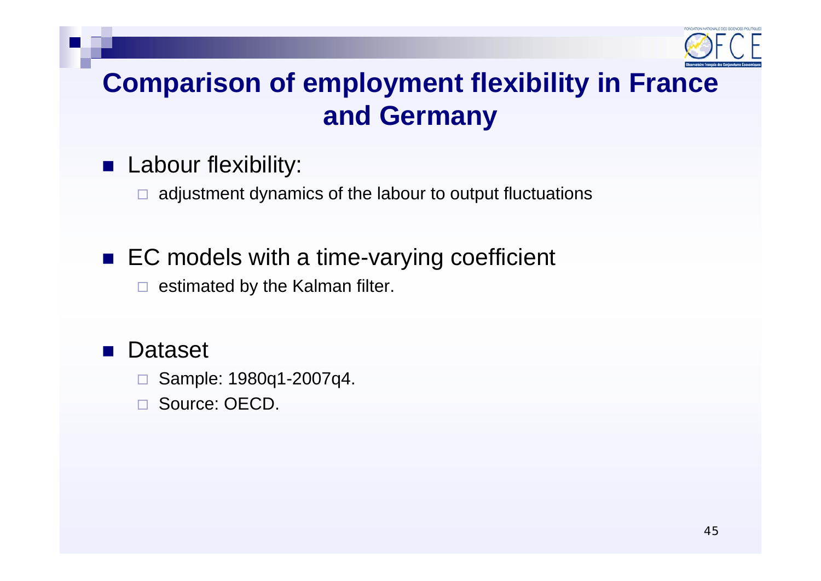

## **Comparison of employment flexibility in France and Germany**

### **Labour flexibility:**

 $\Box$ adjustment dynamics of the labour to output fluctuations

## ■ EC models with a time-varying coefficient

 $\Box$  estimated by the Kalman filter.

#### $\mathbb{R}^3$ Dataset

- □ Sample: 1980q1-2007q4.
- $\Box$ Source: OECD.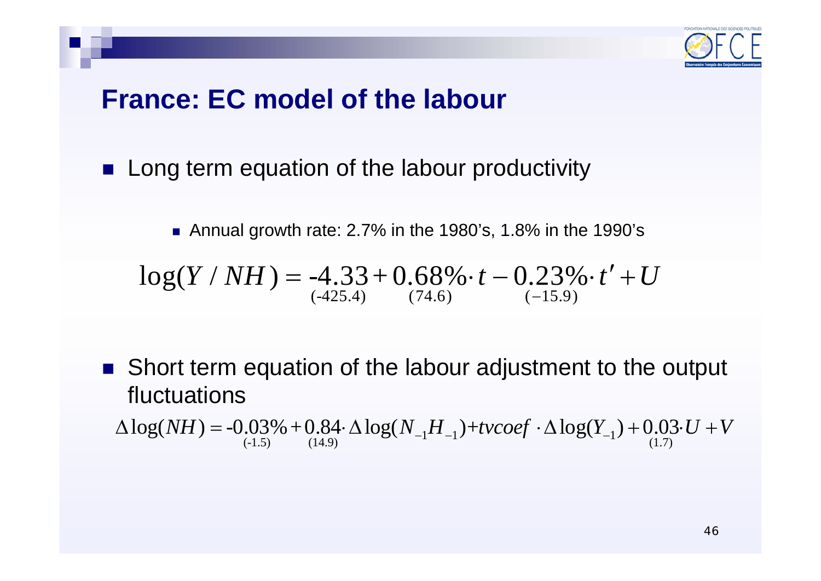

## **France: EC model of the labour**

**Long term equation of the labour productivity** 

■ Annual growth rate: 2.7% in the 1980's, 1.8% in the 1990's  $\log(Y/NH) = -4.33 + 0.68\% \cdot t - 0.23\% \cdot t' + U^{(425.4)}$  $= -4.33 + 0.68\% \cdot t - 0.23\% \cdot t' +$ 

■ Short term equation of the labour adjustment to the output fluctuations

$$
\Delta \log(NH) = -0.03\% + 0.84 \cdot \Delta \log(N_{-1}H_{-1}) + t\nu \cos f \cdot \Delta \log(Y_{-1}) + 0.03 \cdot U + V
$$
\n
$$
(1.7)
$$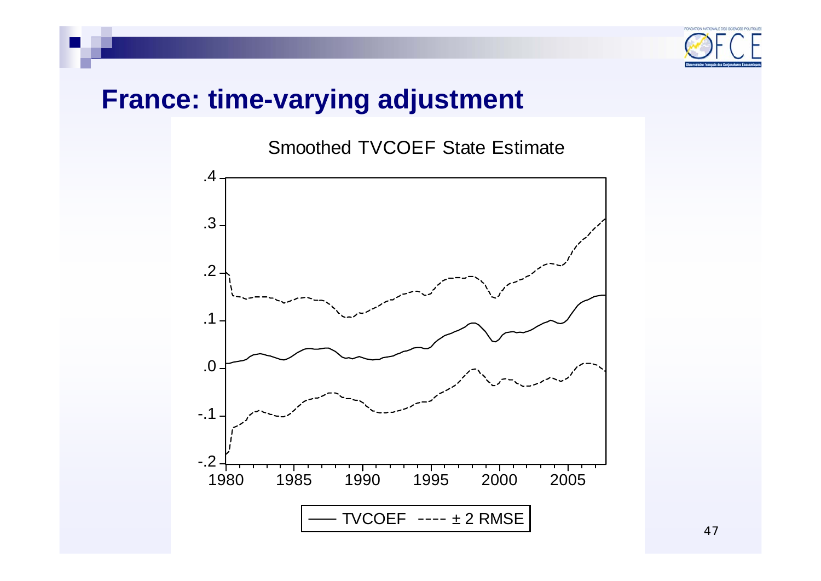

## **France: time-varying adjustment**

### Smoothed TVCOEF State Estimate

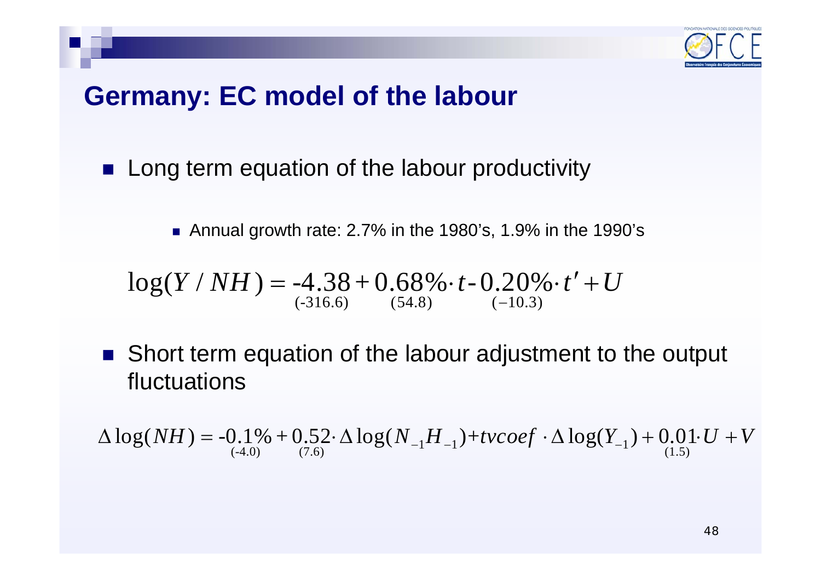

## **Germany: EC model of the labour**

 $\mathcal{L}_{\mathcal{A}}$ Long term equation of the labour productivity

■ Annual growth rate: 2.7% in the 1980's, 1.9% in the 1990's

$$
log(Y/NH) = -4.38 + 0.68\% \cdot t - 0.20\% \cdot t' + U
$$
  
<sub>(-316.6)</sub> (54.8) (-10.3)

 $\mathcal{L}_{\text{max}}$  Short term equation of the labour adjustment to the output fluctuations

$$
\Delta \log(NH) = -0.1\% + 0.52 \cdot \Delta \log(N_{-1}H_{-1}) + t \nu \cos f \cdot \Delta \log(Y_{-1}) + 0.01 \cdot U + V_{(1.5)}
$$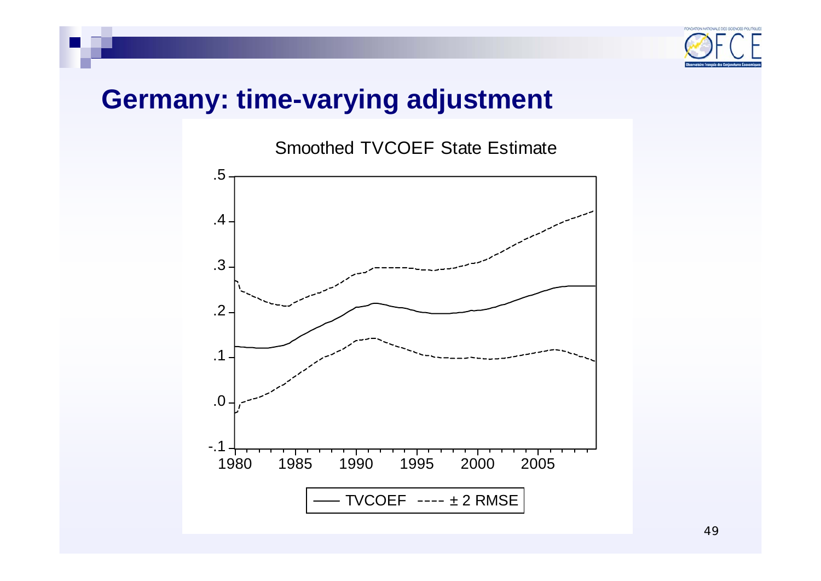

## **Germany: time-varying adjustment**

Smoothed TVCOEF State Estimate